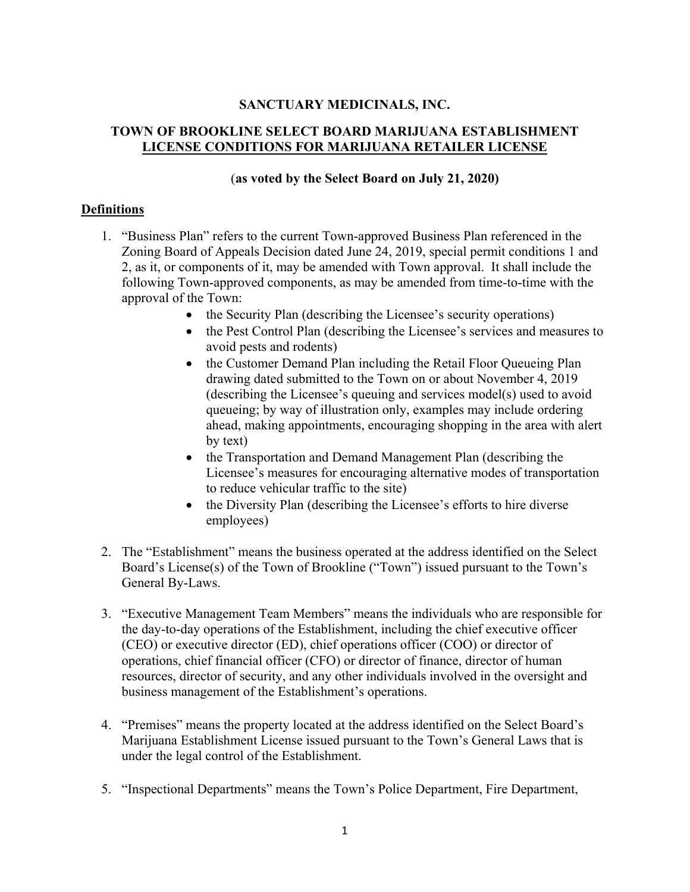## **SANCTUARY MEDICINALS, INC.**

# **TOWN OF BROOKLINE SELECT BOARD MARIJUANA ESTABLISHMENT LICENSE CONDITIONS FOR MARIJUANA RETAILER LICENSE**

#### (**as voted by the Select Board on July 21, 2020)**

### **Definitions**

- 1. "Business Plan" refers to the current Town-approved Business Plan referenced in the Zoning Board of Appeals Decision dated June 24, 2019, special permit conditions 1 and 2, as it, or components of it, may be amended with Town approval. It shall include the following Town-approved components, as may be amended from time-to-time with the approval of the Town:
	- the Security Plan (describing the Licensee's security operations)
	- the Pest Control Plan (describing the Licensee's services and measures to avoid pests and rodents)
	- the Customer Demand Plan including the Retail Floor Queueing Plan drawing dated submitted to the Town on or about November 4, 2019 (describing the Licensee's queuing and services model(s) used to avoid queueing; by way of illustration only, examples may include ordering ahead, making appointments, encouraging shopping in the area with alert by text)
	- the Transportation and Demand Management Plan (describing the Licensee's measures for encouraging alternative modes of transportation to reduce vehicular traffic to the site)
	- the Diversity Plan (describing the Licensee's efforts to hire diverse employees)
- 2. The "Establishment" means the business operated at the address identified on the Select Board's License(s) of the Town of Brookline ("Town") issued pursuant to the Town's General By-Laws.
- 3. "Executive Management Team Members" means the individuals who are responsible for the day-to-day operations of the Establishment, including the chief executive officer (CEO) or executive director (ED), chief operations officer (COO) or director of operations, chief financial officer (CFO) or director of finance, director of human resources, director of security, and any other individuals involved in the oversight and business management of the Establishment's operations.
- 4. "Premises" means the property located at the address identified on the Select Board's Marijuana Establishment License issued pursuant to the Town's General Laws that is under the legal control of the Establishment.
- 5. "Inspectional Departments" means the Town's Police Department, Fire Department,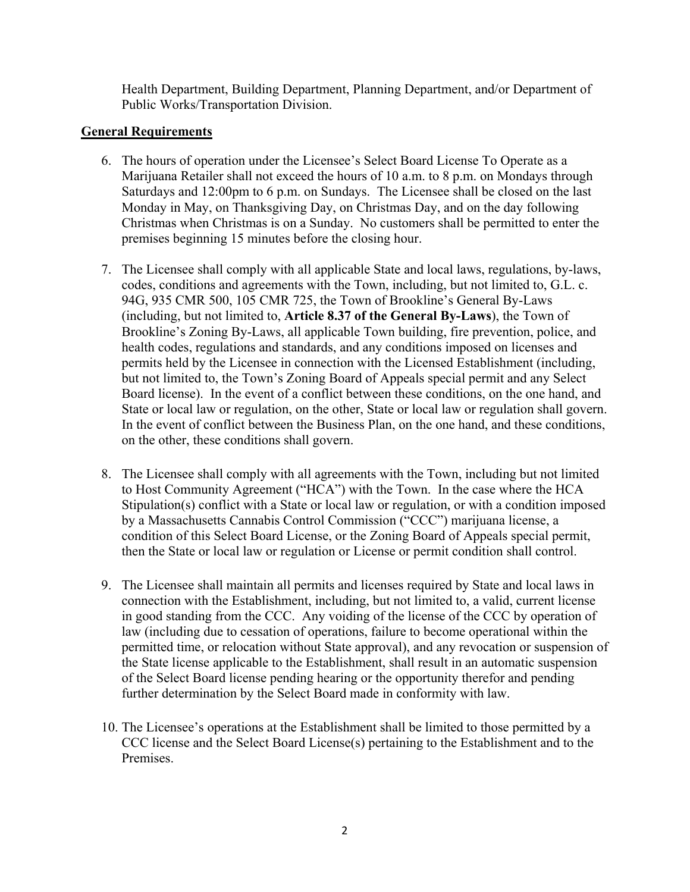Health Department, Building Department, Planning Department, and/or Department of Public Works/Transportation Division.

### **General Requirements**

- 6. The hours of operation under the Licensee's Select Board License To Operate as a Marijuana Retailer shall not exceed the hours of 10 a.m. to 8 p.m. on Mondays through Saturdays and 12:00pm to 6 p.m. on Sundays. The Licensee shall be closed on the last Monday in May, on Thanksgiving Day, on Christmas Day, and on the day following Christmas when Christmas is on a Sunday. No customers shall be permitted to enter the premises beginning 15 minutes before the closing hour.
- 7. The Licensee shall comply with all applicable State and local laws, regulations, by-laws, codes, conditions and agreements with the Town, including, but not limited to, G.L. c. 94G, 935 CMR 500, 105 CMR 725, the Town of Brookline's General By-Laws (including, but not limited to, **Article 8.37 of the General By-Laws**), the Town of Brookline's Zoning By-Laws, all applicable Town building, fire prevention, police, and health codes, regulations and standards, and any conditions imposed on licenses and permits held by the Licensee in connection with the Licensed Establishment (including, but not limited to, the Town's Zoning Board of Appeals special permit and any Select Board license). In the event of a conflict between these conditions, on the one hand, and State or local law or regulation, on the other, State or local law or regulation shall govern. In the event of conflict between the Business Plan, on the one hand, and these conditions, on the other, these conditions shall govern.
- 8. The Licensee shall comply with all agreements with the Town, including but not limited to Host Community Agreement ("HCA") with the Town. In the case where the HCA Stipulation(s) conflict with a State or local law or regulation, or with a condition imposed by a Massachusetts Cannabis Control Commission ("CCC") marijuana license, a condition of this Select Board License, or the Zoning Board of Appeals special permit, then the State or local law or regulation or License or permit condition shall control.
- 9. The Licensee shall maintain all permits and licenses required by State and local laws in connection with the Establishment, including, but not limited to, a valid, current license in good standing from the CCC. Any voiding of the license of the CCC by operation of law (including due to cessation of operations, failure to become operational within the permitted time, or relocation without State approval), and any revocation or suspension of the State license applicable to the Establishment, shall result in an automatic suspension of the Select Board license pending hearing or the opportunity therefor and pending further determination by the Select Board made in conformity with law.
- 10. The Licensee's operations at the Establishment shall be limited to those permitted by a CCC license and the Select Board License(s) pertaining to the Establishment and to the Premises.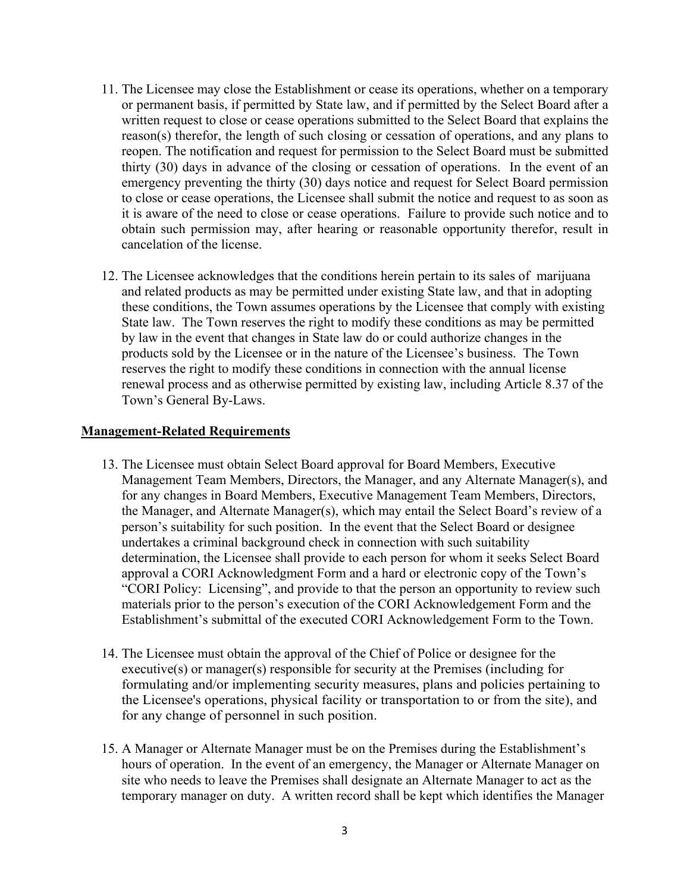- 11. The Licensee may close the Establishment or cease its operations, whether on a temporary or permanent basis, if permitted by State law, and if permitted by the Select Board after a written request to close or cease operations submitted to the Select Board that explains the reason(s) therefor, the length of such closing or cessation of operations, and any plans to reopen. The notification and request for permission to the Select Board must be submitted thirty (30) days in advance of the closing or cessation of operations. In the event of an emergency preventing the thirty (30) days notice and request for Select Board permission to close or cease operations, the Licensee shall submit the notice and request to as soon as it is aware of the need to close or cease operations. Failure to provide such notice and to obtain such permission may, after hearing or reasonable opportunity therefor, result in cancelation of the license.
- 12. The Licensee acknowledges that the conditions herein pertain to its sales of marijuana and related products as may be permitted under existing State law, and that in adopting these conditions, the Town assumes operations by the Licensee that comply with existing State law. The Town reserves the right to modify these conditions as may be permitted by law in the event that changes in State law do or could authorize changes in the products sold by the Licensee or in the nature of the Licensee's business. The Town reserves the right to modify these conditions in connection with the annual license renewal process and as otherwise permitted by existing law, including Article 8.37 of the Town's General By-Laws.

#### **Management-Related Requirements**

- 13. The Licensee must obtain Select Board approval for Board Members, Executive Management Team Members, Directors, the Manager, and any Alternate Manager(s), and for any changes in Board Members, Executive Management Team Members, Directors, the Manager, and Alternate Manager(s), which may entail the Select Board's review of a person's suitability for such position. In the event that the Select Board or designee undertakes a criminal background check in connection with such suitability determination, the Licensee shall provide to each person for whom it seeks Select Board approval a CORI Acknowledgment Form and a hard or electronic copy of the Town's "CORI Policy: Licensing", and provide to that the person an opportunity to review such materials prior to the person's execution of the CORI Acknowledgement Form and the Establishment's submittal of the executed CORI Acknowledgement Form to the Town.
- 14. The Licensee must obtain the approval of the Chief of Police or designee for the executive(s) or manager(s) responsible for security at the Premises (including for formulating and/or implementing security measures, plans and policies pertaining to the Licensee's operations, physical facility or transportation to or from the site), and for any change of personnel in such position.
- 15. A Manager or Alternate Manager must be on the Premises during the Establishment's hours of operation. In the event of an emergency, the Manager or Alternate Manager on site who needs to leave the Premises shall designate an Alternate Manager to act as the temporary manager on duty. A written record shall be kept which identifies the Manager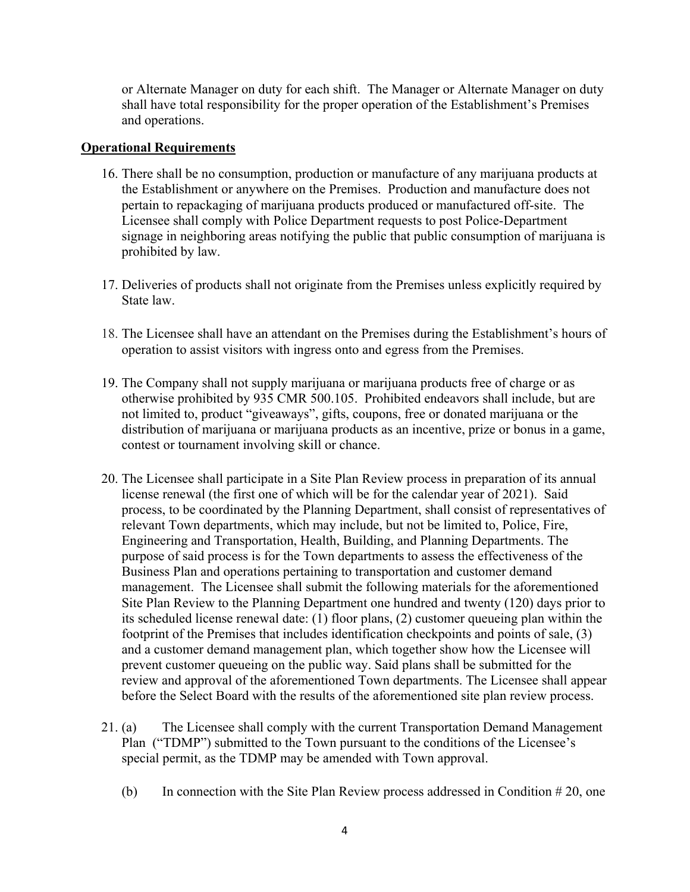or Alternate Manager on duty for each shift. The Manager or Alternate Manager on duty shall have total responsibility for the proper operation of the Establishment's Premises and operations.

#### **Operational Requirements**

- 16. There shall be no consumption, production or manufacture of any marijuana products at the Establishment or anywhere on the Premises. Production and manufacture does not pertain to repackaging of marijuana products produced or manufactured off-site. The Licensee shall comply with Police Department requests to post Police-Department signage in neighboring areas notifying the public that public consumption of marijuana is prohibited by law.
- 17. Deliveries of products shall not originate from the Premises unless explicitly required by State law.
- 18. The Licensee shall have an attendant on the Premises during the Establishment's hours of operation to assist visitors with ingress onto and egress from the Premises.
- 19. The Company shall not supply marijuana or marijuana products free of charge or as otherwise prohibited by 935 CMR 500.105. Prohibited endeavors shall include, but are not limited to, product "giveaways", gifts, coupons, free or donated marijuana or the distribution of marijuana or marijuana products as an incentive, prize or bonus in a game, contest or tournament involving skill or chance.
- 20. The Licensee shall participate in a Site Plan Review process in preparation of its annual license renewal (the first one of which will be for the calendar year of 2021). Said process, to be coordinated by the Planning Department, shall consist of representatives of relevant Town departments, which may include, but not be limited to, Police, Fire, Engineering and Transportation, Health, Building, and Planning Departments. The purpose of said process is for the Town departments to assess the effectiveness of the Business Plan and operations pertaining to transportation and customer demand management. The Licensee shall submit the following materials for the aforementioned Site Plan Review to the Planning Department one hundred and twenty (120) days prior to its scheduled license renewal date: (1) floor plans, (2) customer queueing plan within the footprint of the Premises that includes identification checkpoints and points of sale, (3) and a customer demand management plan, which together show how the Licensee will prevent customer queueing on the public way. Said plans shall be submitted for the review and approval of the aforementioned Town departments. The Licensee shall appear before the Select Board with the results of the aforementioned site plan review process.
- 21. (a) The Licensee shall comply with the current Transportation Demand Management Plan ("TDMP") submitted to the Town pursuant to the conditions of the Licensee's special permit, as the TDMP may be amended with Town approval.
	- (b) In connection with the Site Plan Review process addressed in Condition # 20, one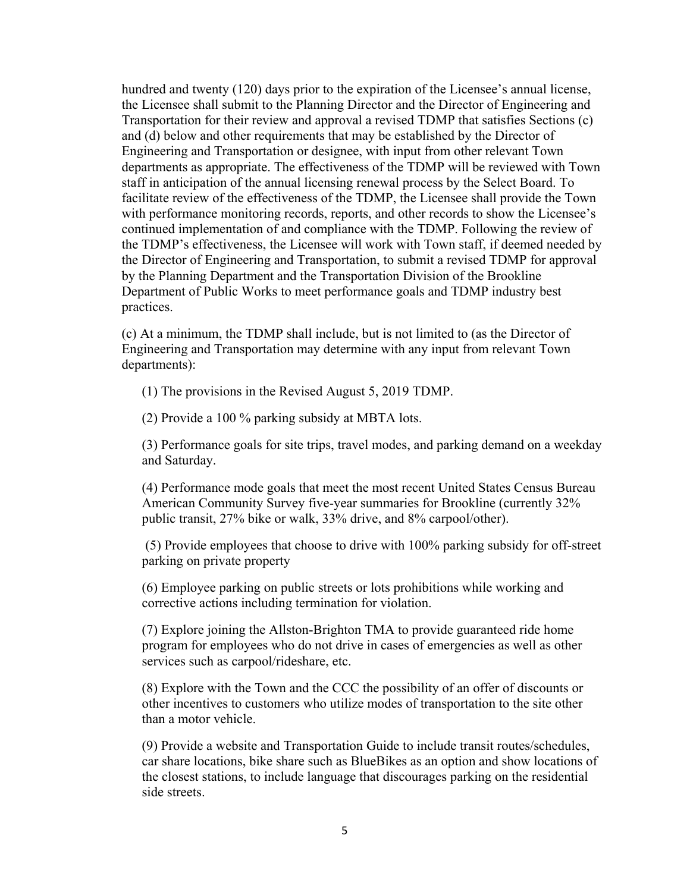hundred and twenty (120) days prior to the expiration of the Licensee's annual license, the Licensee shall submit to the Planning Director and the Director of Engineering and Transportation for their review and approval a revised TDMP that satisfies Sections (c) and (d) below and other requirements that may be established by the Director of Engineering and Transportation or designee, with input from other relevant Town departments as appropriate. The effectiveness of the TDMP will be reviewed with Town staff in anticipation of the annual licensing renewal process by the Select Board. To facilitate review of the effectiveness of the TDMP, the Licensee shall provide the Town with performance monitoring records, reports, and other records to show the Licensee's continued implementation of and compliance with the TDMP. Following the review of the TDMP's effectiveness, the Licensee will work with Town staff, if deemed needed by the Director of Engineering and Transportation, to submit a revised TDMP for approval by the Planning Department and the Transportation Division of the Brookline Department of Public Works to meet performance goals and TDMP industry best practices.

(c) At a minimum, the TDMP shall include, but is not limited to (as the Director of Engineering and Transportation may determine with any input from relevant Town departments):

(1) The provisions in the Revised August 5, 2019 TDMP.

(2) Provide a 100 % parking subsidy at MBTA lots.

(3) Performance goals for site trips, travel modes, and parking demand on a weekday and Saturday.

(4) Performance mode goals that meet the most recent United States Census Bureau American Community Survey five-year summaries for Brookline (currently 32% public transit, 27% bike or walk, 33% drive, and 8% carpool/other).

 (5) Provide employees that choose to drive with 100% parking subsidy for off-street parking on private property

(6) Employee parking on public streets or lots prohibitions while working and corrective actions including termination for violation.

(7) Explore joining the Allston-Brighton TMA to provide guaranteed ride home program for employees who do not drive in cases of emergencies as well as other services such as carpool/rideshare, etc.

(8) Explore with the Town and the CCC the possibility of an offer of discounts or other incentives to customers who utilize modes of transportation to the site other than a motor vehicle.

(9) Provide a website and Transportation Guide to include transit routes/schedules, car share locations, bike share such as BlueBikes as an option and show locations of the closest stations, to include language that discourages parking on the residential side streets.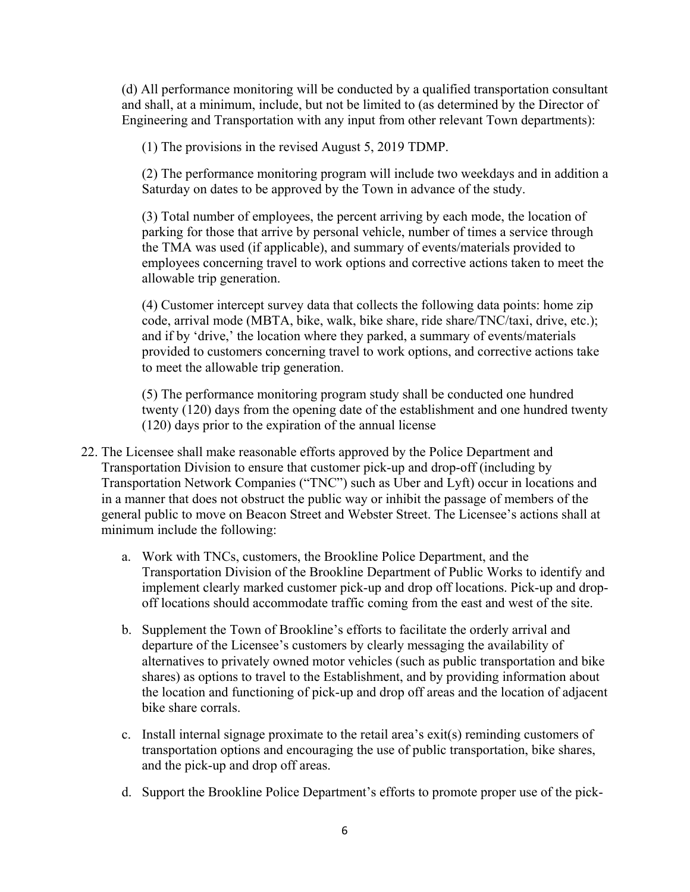(d) All performance monitoring will be conducted by a qualified transportation consultant and shall, at a minimum, include, but not be limited to (as determined by the Director of Engineering and Transportation with any input from other relevant Town departments):

(1) The provisions in the revised August 5, 2019 TDMP.

(2) The performance monitoring program will include two weekdays and in addition a Saturday on dates to be approved by the Town in advance of the study.

(3) Total number of employees, the percent arriving by each mode, the location of parking for those that arrive by personal vehicle, number of times a service through the TMA was used (if applicable), and summary of events/materials provided to employees concerning travel to work options and corrective actions taken to meet the allowable trip generation.

(4) Customer intercept survey data that collects the following data points: home zip code, arrival mode (MBTA, bike, walk, bike share, ride share/TNC/taxi, drive, etc.); and if by 'drive,' the location where they parked, a summary of events/materials provided to customers concerning travel to work options, and corrective actions take to meet the allowable trip generation.

(5) The performance monitoring program study shall be conducted one hundred twenty (120) days from the opening date of the establishment and one hundred twenty (120) days prior to the expiration of the annual license

- 22. The Licensee shall make reasonable efforts approved by the Police Department and Transportation Division to ensure that customer pick-up and drop-off (including by Transportation Network Companies ("TNC") such as Uber and Lyft) occur in locations and in a manner that does not obstruct the public way or inhibit the passage of members of the general public to move on Beacon Street and Webster Street. The Licensee's actions shall at minimum include the following:
	- a. Work with TNCs, customers, the Brookline Police Department, and the Transportation Division of the Brookline Department of Public Works to identify and implement clearly marked customer pick-up and drop off locations. Pick-up and dropoff locations should accommodate traffic coming from the east and west of the site.
	- b. Supplement the Town of Brookline's efforts to facilitate the orderly arrival and departure of the Licensee's customers by clearly messaging the availability of alternatives to privately owned motor vehicles (such as public transportation and bike shares) as options to travel to the Establishment, and by providing information about the location and functioning of pick-up and drop off areas and the location of adjacent bike share corrals.
	- c. Install internal signage proximate to the retail area's exit(s) reminding customers of transportation options and encouraging the use of public transportation, bike shares, and the pick-up and drop off areas.
	- d. Support the Brookline Police Department's efforts to promote proper use of the pick-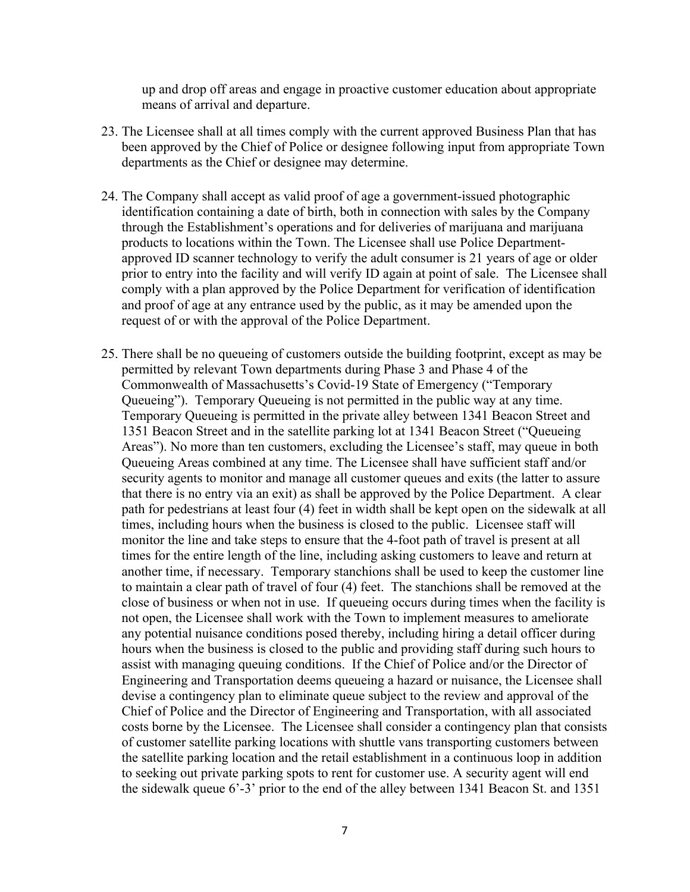up and drop off areas and engage in proactive customer education about appropriate means of arrival and departure.

- 23. The Licensee shall at all times comply with the current approved Business Plan that has been approved by the Chief of Police or designee following input from appropriate Town departments as the Chief or designee may determine.
- 24. The Company shall accept as valid proof of age a government-issued photographic identification containing a date of birth, both in connection with sales by the Company through the Establishment's operations and for deliveries of marijuana and marijuana products to locations within the Town. The Licensee shall use Police Departmentapproved ID scanner technology to verify the adult consumer is 21 years of age or older prior to entry into the facility and will verify ID again at point of sale. The Licensee shall comply with a plan approved by the Police Department for verification of identification and proof of age at any entrance used by the public, as it may be amended upon the request of or with the approval of the Police Department.
- 25. There shall be no queueing of customers outside the building footprint, except as may be permitted by relevant Town departments during Phase 3 and Phase 4 of the Commonwealth of Massachusetts's Covid-19 State of Emergency ("Temporary Queueing"). Temporary Queueing is not permitted in the public way at any time. Temporary Queueing is permitted in the private alley between 1341 Beacon Street and 1351 Beacon Street and in the satellite parking lot at 1341 Beacon Street ("Queueing Areas"). No more than ten customers, excluding the Licensee's staff, may queue in both Queueing Areas combined at any time. The Licensee shall have sufficient staff and/or security agents to monitor and manage all customer queues and exits (the latter to assure that there is no entry via an exit) as shall be approved by the Police Department. A clear path for pedestrians at least four (4) feet in width shall be kept open on the sidewalk at all times, including hours when the business is closed to the public. Licensee staff will monitor the line and take steps to ensure that the 4-foot path of travel is present at all times for the entire length of the line, including asking customers to leave and return at another time, if necessary. Temporary stanchions shall be used to keep the customer line to maintain a clear path of travel of four (4) feet. The stanchions shall be removed at the close of business or when not in use. If queueing occurs during times when the facility is not open, the Licensee shall work with the Town to implement measures to ameliorate any potential nuisance conditions posed thereby, including hiring a detail officer during hours when the business is closed to the public and providing staff during such hours to assist with managing queuing conditions. If the Chief of Police and/or the Director of Engineering and Transportation deems queueing a hazard or nuisance, the Licensee shall devise a contingency plan to eliminate queue subject to the review and approval of the Chief of Police and the Director of Engineering and Transportation, with all associated costs borne by the Licensee. The Licensee shall consider a contingency plan that consists of customer satellite parking locations with shuttle vans transporting customers between the satellite parking location and the retail establishment in a continuous loop in addition to seeking out private parking spots to rent for customer use. A security agent will end the sidewalk queue 6'-3' prior to the end of the alley between 1341 Beacon St. and 1351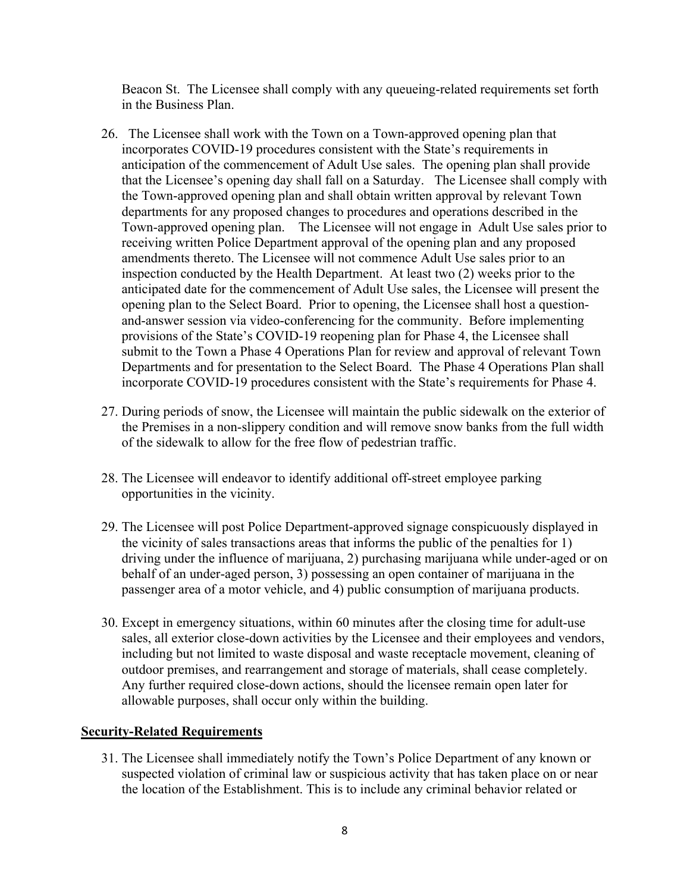Beacon St. The Licensee shall comply with any queueing-related requirements set forth in the Business Plan.

- 26. The Licensee shall work with the Town on a Town-approved opening plan that incorporates COVID-19 procedures consistent with the State's requirements in anticipation of the commencement of Adult Use sales. The opening plan shall provide that the Licensee's opening day shall fall on a Saturday. The Licensee shall comply with the Town-approved opening plan and shall obtain written approval by relevant Town departments for any proposed changes to procedures and operations described in the Town-approved opening plan. The Licensee will not engage in Adult Use sales prior to receiving written Police Department approval of the opening plan and any proposed amendments thereto. The Licensee will not commence Adult Use sales prior to an inspection conducted by the Health Department. At least two (2) weeks prior to the anticipated date for the commencement of Adult Use sales, the Licensee will present the opening plan to the Select Board. Prior to opening, the Licensee shall host a questionand-answer session via video-conferencing for the community. Before implementing provisions of the State's COVID-19 reopening plan for Phase 4, the Licensee shall submit to the Town a Phase 4 Operations Plan for review and approval of relevant Town Departments and for presentation to the Select Board. The Phase 4 Operations Plan shall incorporate COVID-19 procedures consistent with the State's requirements for Phase 4.
- 27. During periods of snow, the Licensee will maintain the public sidewalk on the exterior of the Premises in a non-slippery condition and will remove snow banks from the full width of the sidewalk to allow for the free flow of pedestrian traffic.
- 28. The Licensee will endeavor to identify additional off-street employee parking opportunities in the vicinity.
- 29. The Licensee will post Police Department-approved signage conspicuously displayed in the vicinity of sales transactions areas that informs the public of the penalties for 1) driving under the influence of marijuana, 2) purchasing marijuana while under-aged or on behalf of an under-aged person, 3) possessing an open container of marijuana in the passenger area of a motor vehicle, and 4) public consumption of marijuana products.
- 30. Except in emergency situations, within 60 minutes after the closing time for adult-use sales, all exterior close-down activities by the Licensee and their employees and vendors, including but not limited to waste disposal and waste receptacle movement, cleaning of outdoor premises, and rearrangement and storage of materials, shall cease completely. Any further required close-down actions, should the licensee remain open later for allowable purposes, shall occur only within the building.

### **Security-Related Requirements**

31. The Licensee shall immediately notify the Town's Police Department of any known or suspected violation of criminal law or suspicious activity that has taken place on or near the location of the Establishment. This is to include any criminal behavior related or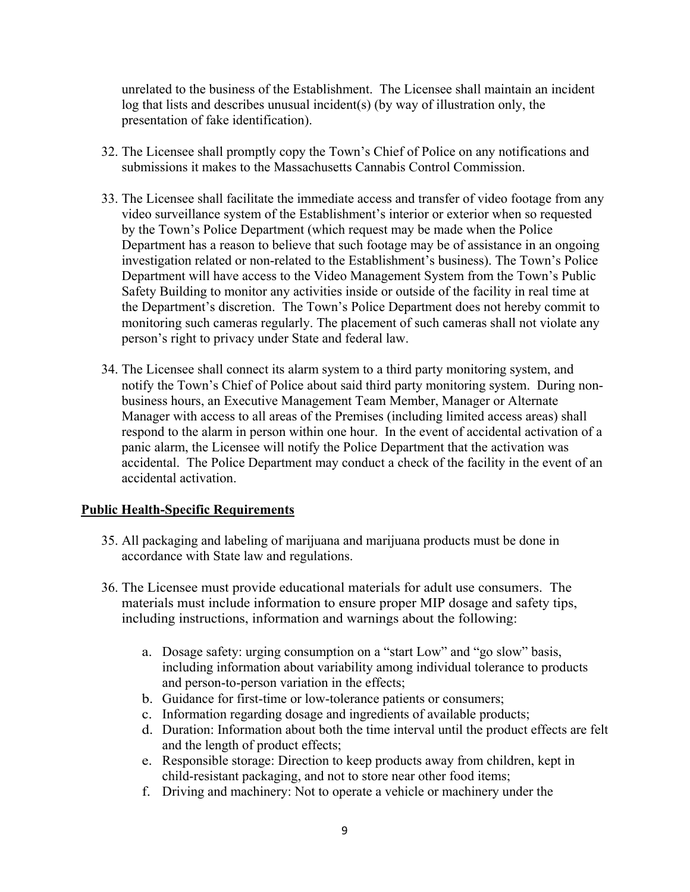unrelated to the business of the Establishment. The Licensee shall maintain an incident log that lists and describes unusual incident(s) (by way of illustration only, the presentation of fake identification).

- 32. The Licensee shall promptly copy the Town's Chief of Police on any notifications and submissions it makes to the Massachusetts Cannabis Control Commission.
- 33. The Licensee shall facilitate the immediate access and transfer of video footage from any video surveillance system of the Establishment's interior or exterior when so requested by the Town's Police Department (which request may be made when the Police Department has a reason to believe that such footage may be of assistance in an ongoing investigation related or non-related to the Establishment's business). The Town's Police Department will have access to the Video Management System from the Town's Public Safety Building to monitor any activities inside or outside of the facility in real time at the Department's discretion. The Town's Police Department does not hereby commit to monitoring such cameras regularly. The placement of such cameras shall not violate any person's right to privacy under State and federal law.
- 34. The Licensee shall connect its alarm system to a third party monitoring system, and notify the Town's Chief of Police about said third party monitoring system. During nonbusiness hours, an Executive Management Team Member, Manager or Alternate Manager with access to all areas of the Premises (including limited access areas) shall respond to the alarm in person within one hour. In the event of accidental activation of a panic alarm, the Licensee will notify the Police Department that the activation was accidental. The Police Department may conduct a check of the facility in the event of an accidental activation.

### **Public Health-Specific Requirements**

- 35. All packaging and labeling of marijuana and marijuana products must be done in accordance with State law and regulations.
- 36. The Licensee must provide educational materials for adult use consumers. The materials must include information to ensure proper MIP dosage and safety tips, including instructions, information and warnings about the following:
	- a. Dosage safety: urging consumption on a "start Low" and "go slow" basis, including information about variability among individual tolerance to products and person-to-person variation in the effects;
	- b. Guidance for first-time or low-tolerance patients or consumers;
	- c. Information regarding dosage and ingredients of available products;
	- d. Duration: Information about both the time interval until the product effects are felt and the length of product effects;
	- e. Responsible storage: Direction to keep products away from children, kept in child-resistant packaging, and not to store near other food items;
	- f. Driving and machinery: Not to operate a vehicle or machinery under the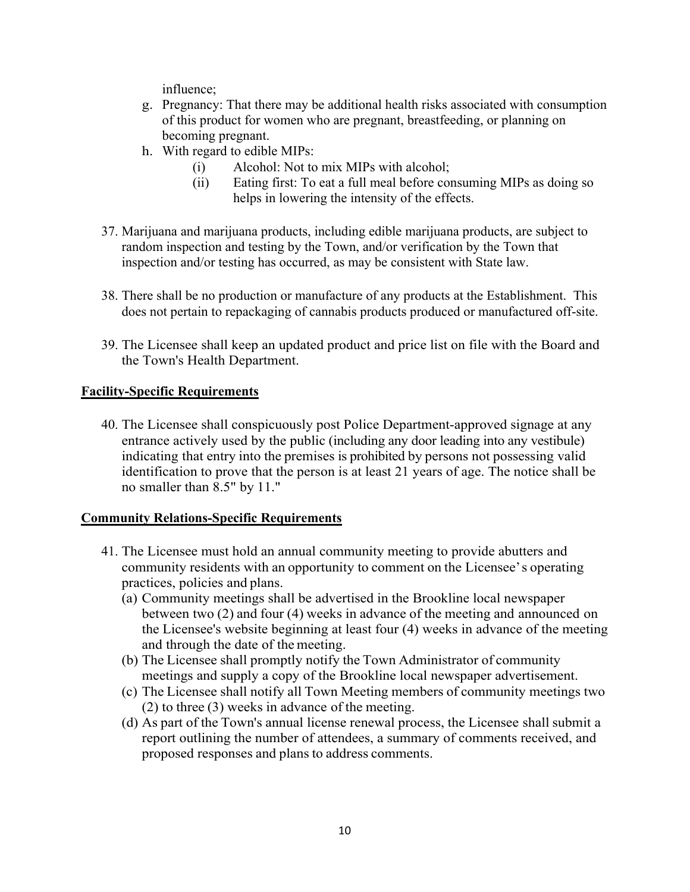influence;

- g. Pregnancy: That there may be additional health risks associated with consumption of this product for women who are pregnant, breastfeeding, or planning on becoming pregnant.
- h. With regard to edible MIPs:
	- (i) Alcohol: Not to mix MIPs with alcohol;
	- (ii) Eating first: To eat a full meal before consuming MIPs as doing so helps in lowering the intensity of the effects.
- 37. Marijuana and marijuana products, including edible marijuana products, are subject to random inspection and testing by the Town, and/or verification by the Town that inspection and/or testing has occurred, as may be consistent with State law.
- 38. There shall be no production or manufacture of any products at the Establishment. This does not pertain to repackaging of cannabis products produced or manufactured off-site.
- 39. The Licensee shall keep an updated product and price list on file with the Board and the Town's Health Department.

# **Facility-Specific Requirements**

40. The Licensee shall conspicuously post Police Department-approved signage at any entrance actively used by the public (including any door leading into any vestibule) indicating that entry into the premises is prohibited by persons not possessing valid identification to prove that the person is at least 21 years of age. The notice shall be no smaller than 8.5" by 11."

# **Community Relations-Specific Requirements**

- 41. The Licensee must hold an annual community meeting to provide abutters and community residents with an opportunity to comment on the Licensee' s operating practices, policies and plans.
	- (a) Community meetings shall be advertised in the Brookline local newspaper between two (2) and four (4) weeks in advance of the meeting and announced on the Licensee's website beginning at least four (4) weeks in advance of the meeting and through the date of the meeting.
	- (b) The Licensee shall promptly notify the Town Administrator of community meetings and supply a copy of the Brookline local newspaper advertisement.
	- (c) The Licensee shall notify all Town Meeting members of community meetings two (2) to three (3) weeks in advance of the meeting.
	- (d) As part of the Town's annual license renewal process, the Licensee shall submit a report outlining the number of attendees, a summary of comments received, and proposed responses and plans to address comments.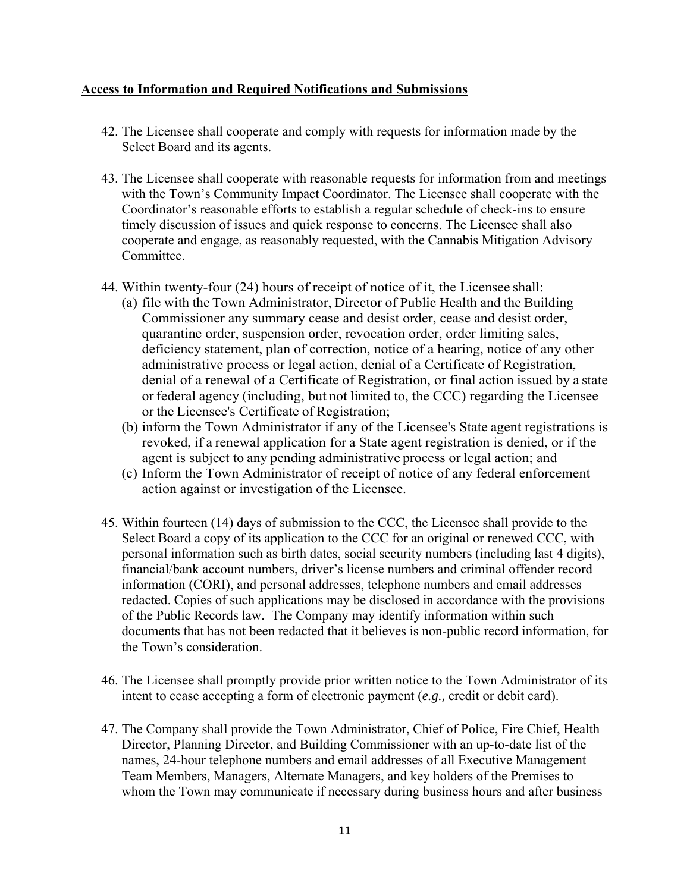### **Access to Information and Required Notifications and Submissions**

- 42. The Licensee shall cooperate and comply with requests for information made by the Select Board and its agents.
- 43. The Licensee shall cooperate with reasonable requests for information from and meetings with the Town's Community Impact Coordinator. The Licensee shall cooperate with the Coordinator's reasonable efforts to establish a regular schedule of check-ins to ensure timely discussion of issues and quick response to concerns. The Licensee shall also cooperate and engage, as reasonably requested, with the Cannabis Mitigation Advisory Committee.
- 44. Within twenty-four (24) hours of receipt of notice of it, the Licensee shall:
	- (a) file with the Town Administrator, Director of Public Health and the Building Commissioner any summary cease and desist order, cease and desist order, quarantine order, suspension order, revocation order, order limiting sales, deficiency statement, plan of correction, notice of a hearing, notice of any other administrative process or legal action, denial of a Certificate of Registration, denial of a renewal of a Certificate of Registration, or final action issued by a state or federal agency (including, but not limited to, the CCC) regarding the Licensee or the Licensee's Certificate of Registration;
	- (b) inform the Town Administrator if any of the Licensee's State agent registrations is revoked, if a renewal application for a State agent registration is denied, or if the agent is subject to any pending administrative process or legal action; and
	- (c) Inform the Town Administrator of receipt of notice of any federal enforcement action against or investigation of the Licensee.
- 45. Within fourteen (14) days of submission to the CCC, the Licensee shall provide to the Select Board a copy of its application to the CCC for an original or renewed CCC, with personal information such as birth dates, social security numbers (including last 4 digits), financial/bank account numbers, driver's license numbers and criminal offender record information (CORI), and personal addresses, telephone numbers and email addresses redacted. Copies of such applications may be disclosed in accordance with the provisions of the Public Records law. The Company may identify information within such documents that has not been redacted that it believes is non-public record information, for the Town's consideration.
- 46. The Licensee shall promptly provide prior written notice to the Town Administrator of its intent to cease accepting a form of electronic payment (*e.g.,* credit or debit card).
- 47. The Company shall provide the Town Administrator, Chief of Police, Fire Chief, Health Director, Planning Director, and Building Commissioner with an up-to-date list of the names, 24-hour telephone numbers and email addresses of all Executive Management Team Members, Managers, Alternate Managers, and key holders of the Premises to whom the Town may communicate if necessary during business hours and after business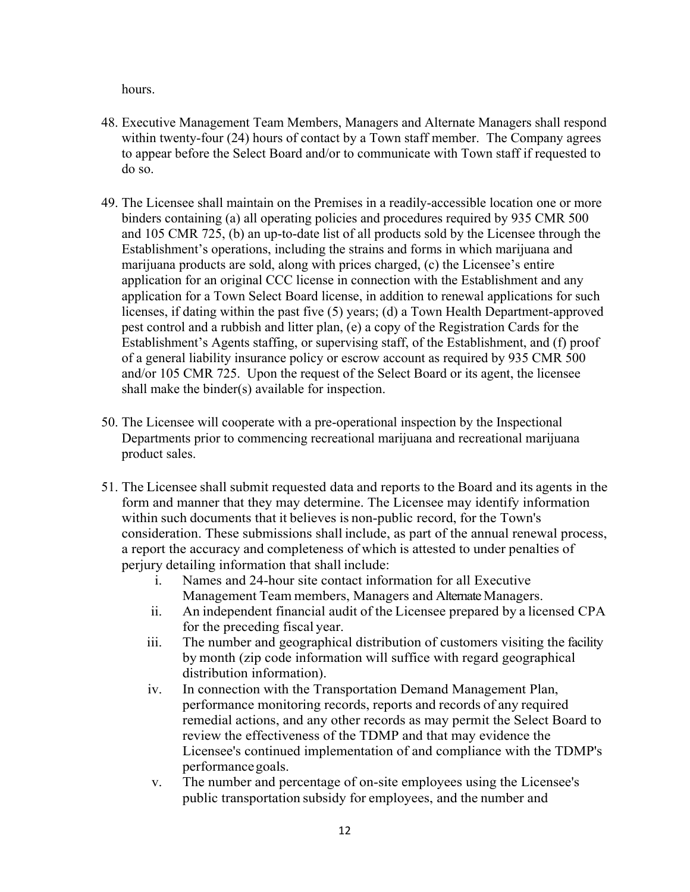hours.

- 48. Executive Management Team Members, Managers and Alternate Managers shall respond within twenty-four (24) hours of contact by a Town staff member. The Company agrees to appear before the Select Board and/or to communicate with Town staff if requested to do so.
- 49. The Licensee shall maintain on the Premises in a readily-accessible location one or more binders containing (a) all operating policies and procedures required by 935 CMR 500 and 105 CMR 725, (b) an up-to-date list of all products sold by the Licensee through the Establishment's operations, including the strains and forms in which marijuana and marijuana products are sold, along with prices charged, (c) the Licensee's entire application for an original CCC license in connection with the Establishment and any application for a Town Select Board license, in addition to renewal applications for such licenses, if dating within the past five (5) years; (d) a Town Health Department-approved pest control and a rubbish and litter plan, (e) a copy of the Registration Cards for the Establishment's Agents staffing, or supervising staff, of the Establishment, and (f) proof of a general liability insurance policy or escrow account as required by 935 CMR 500 and/or 105 CMR 725. Upon the request of the Select Board or its agent, the licensee shall make the binder(s) available for inspection.
- 50. The Licensee will cooperate with a pre-operational inspection by the Inspectional Departments prior to commencing recreational marijuana and recreational marijuana product sales.
- 51. The Licensee shall submit requested data and reports to the Board and its agents in the form and manner that they may determine. The Licensee may identify information within such documents that it believes is non-public record, for the Town's consideration. These submissions shall include, as part of the annual renewal process, a report the accuracy and completeness of which is attested to under penalties of perjury detailing information that shall include:
	- i. Names and 24-hour site contact information for all Executive Management Team members, Managers and Alternate Managers.
	- ii. An independent financial audit of the Licensee prepared by a licensed CPA for the preceding fiscal year.
	- iii. The number and geographical distribution of customers visiting the facility by month (zip code information will suffice with regard geographical distribution information).
	- iv. In connection with the Transportation Demand Management Plan, performance monitoring records, reports and records of any required remedial actions, and any other records as may permit the Select Board to review the effectiveness of the TDMP and that may evidence the Licensee's continued implementation of and compliance with the TDMP's performance goals.
	- v. The number and percentage of on-site employees using the Licensee's public transportation subsidy for employees, and the number and